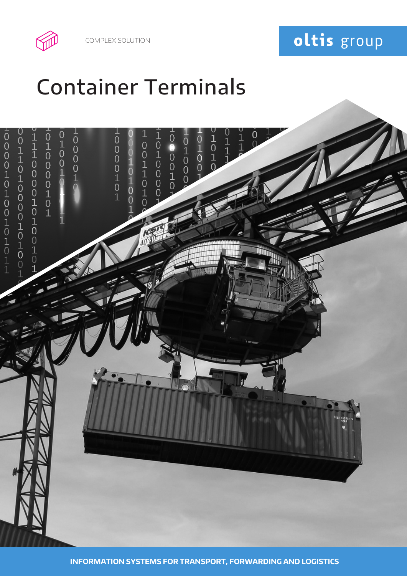COMPLEX SOLUTION



# Container Terminals